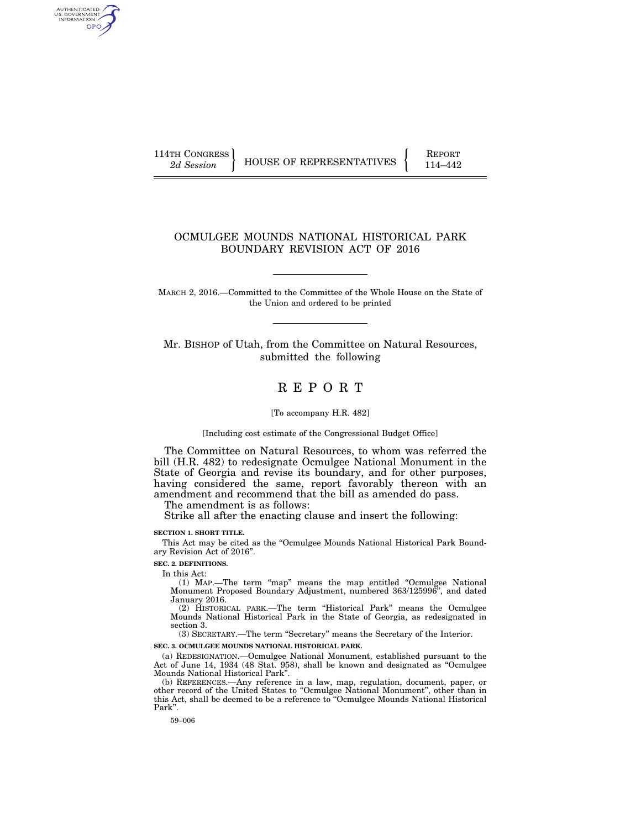AUTHENTICATED<br>U.S. GOVERNMENT<br>INFORMATION GPO

114TH CONGRESS HOUSE OF REPRESENTATIVES FEPORT 114–442

# OCMULGEE MOUNDS NATIONAL HISTORICAL PARK BOUNDARY REVISION ACT OF 2016

MARCH 2, 2016.—Committed to the Committee of the Whole House on the State of the Union and ordered to be printed

Mr. BISHOP of Utah, from the Committee on Natural Resources, submitted the following

# R E P O R T

[To accompany H.R. 482]

[Including cost estimate of the Congressional Budget Office]

The Committee on Natural Resources, to whom was referred the bill (H.R. 482) to redesignate Ocmulgee National Monument in the State of Georgia and revise its boundary, and for other purposes, having considered the same, report favorably thereon with an amendment and recommend that the bill as amended do pass.

The amendment is as follows:

Strike all after the enacting clause and insert the following:

#### **SECTION 1. SHORT TITLE.**

This Act may be cited as the "Ocmulgee Mounds National Historical Park Boundary Revision Act of 2016''.

**SEC. 2. DEFINITIONS.** 

In this Act:

(1) MAP.—The term ''map'' means the map entitled ''Ocmulgee National Monument Proposed Boundary Adjustment, numbered 363/125996'', and dated January 2016.

(2) HISTORICAL PARK.—The term ''Historical Park'' means the Ocmulgee Mounds National Historical Park in the State of Georgia, as redesignated in section 3.

(3) SECRETARY.—The term ''Secretary'' means the Secretary of the Interior.

**SEC. 3. OCMULGEE MOUNDS NATIONAL HISTORICAL PARK.** 

(a) REDESIGNATION.—Ocmulgee National Monument, established pursuant to the Act of June 14, 1934 (48 Stat. 958), shall be known and designated as ''Ocmulgee Mounds National Historical Park''.

(b) REFERENCES.—Any reference in a law, map, regulation, document, paper, or other record of the United States to ''Ocmulgee National Monument'', other than in this Act, shall be deemed to be a reference to ''Ocmulgee Mounds National Historical Park''.

59–006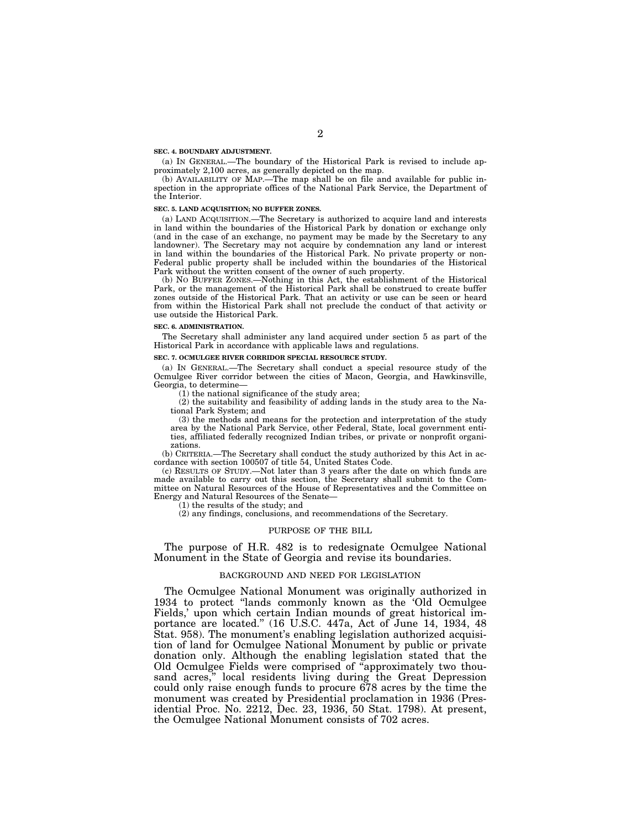#### **SEC. 4. BOUNDARY ADJUSTMENT.**

(a) IN GENERAL.—The boundary of the Historical Park is revised to include approximately 2,100 acres, as generally depicted on the map.

(b) AVAILABILITY OF MAP.—The map shall be on file and available for public inspection in the appropriate offices of the National Park Service, the Department of the Interior.

# **SEC. 5. LAND ACQUISITION; NO BUFFER ZONES.**

(a) LAND ACQUISITION.—The Secretary is authorized to acquire land and interests in land within the boundaries of the Historical Park by donation or exchange only (and in the case of an exchange, no payment may be made by the Secretary to any landowner). The Secretary may not acquire by condemnation any land or interest in land within the boundaries of the Historical Park. No private property or non-Federal public property shall be included within the boundaries of the Historical Park without the written consent of the owner of such property.

(b) NO BUFFER ZONES.—Nothing in this Act, the establishment of the Historical Park, or the management of the Historical Park shall be construed to create buffer zones outside of the Historical Park. That an activity or use can be seen or heard from within the Historical Park shall not preclude the conduct of that activity or use outside the Historical Park.

### **SEC. 6. ADMINISTRATION.**

The Secretary shall administer any land acquired under section 5 as part of the Historical Park in accordance with applicable laws and regulations.

# **SEC. 7. OCMULGEE RIVER CORRIDOR SPECIAL RESOURCE STUDY.**

(a) IN GENERAL.—The Secretary shall conduct a special resource study of the Ocmulgee River corridor between the cities of Macon, Georgia, and Hawkinsville, Georgia, to determine—

(1) the national significance of the study area;

(2) the suitability and feasibility of adding lands in the study area to the National Park System; and

(3) the methods and means for the protection and interpretation of the study area by the National Park Service, other Federal, State, local government entities, affiliated federally recognized Indian tribes, or private or nonprofit organizations.

(b) CRITERIA.—The Secretary shall conduct the study authorized by this Act in accordance with section 100507 of title 54, United States Code.

(c) RESULTS OF STUDY.—Not later than 3 years after the date on which funds are made available to carry out this section, the Secretary shall submit to the Committee on Natural Resources of the House of Representatives and the Committee on Energy and Natural Resources of the Senate—

(1) the results of the study; and

(2) any findings, conclusions, and recommendations of the Secretary.

# PURPOSE OF THE BILL

The purpose of H.R. 482 is to redesignate Ocmulgee National Monument in the State of Georgia and revise its boundaries.

# BACKGROUND AND NEED FOR LEGISLATION

The Ocmulgee National Monument was originally authorized in 1934 to protect ''lands commonly known as the 'Old Ocmulgee Fields,' upon which certain Indian mounds of great historical importance are located." (16 U.S.C. 447a, Act of June 14, 1934, 48 Stat. 958). The monument's enabling legislation authorized acquisition of land for Ocmulgee National Monument by public or private donation only. Although the enabling legislation stated that the Old Ocmulgee Fields were comprised of ''approximately two thousand acres," local residents living during the Great Depression could only raise enough funds to procure 678 acres by the time the monument was created by Presidential proclamation in 1936 (Presidential Proc. No. 2212, Dec. 23, 1936, 50 Stat. 1798). At present, the Ocmulgee National Monument consists of 702 acres.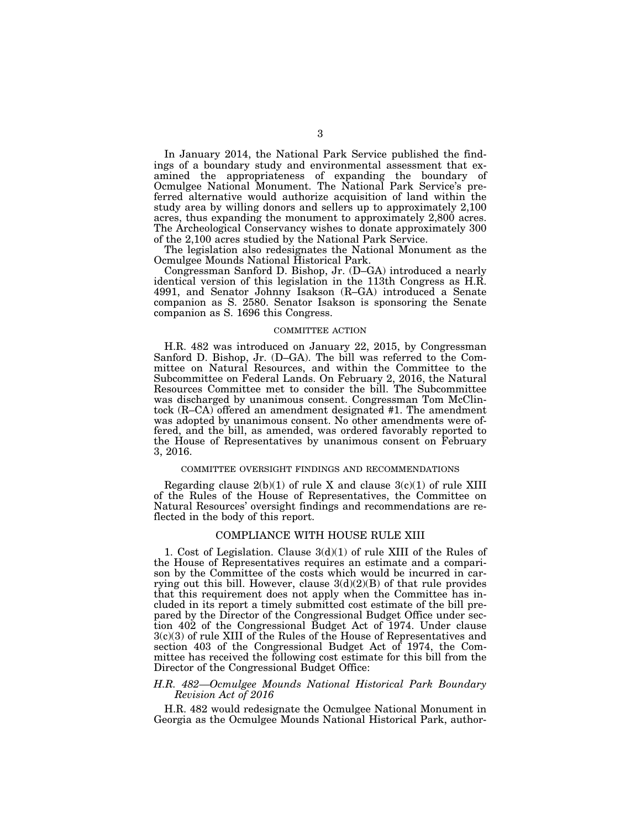In January 2014, the National Park Service published the findings of a boundary study and environmental assessment that examined the appropriateness of expanding the boundary of Ocmulgee National Monument. The National Park Service's preferred alternative would authorize acquisition of land within the study area by willing donors and sellers up to approximately 2,100 acres, thus expanding the monument to approximately 2,800 acres. The Archeological Conservancy wishes to donate approximately 300 of the 2,100 acres studied by the National Park Service.

The legislation also redesignates the National Monument as the Ocmulgee Mounds National Historical Park.

Congressman Sanford D. Bishop, Jr. (D–GA) introduced a nearly identical version of this legislation in the 113th Congress as H.R. 4991, and Senator Johnny Isakson (R–GA) introduced a Senate companion as S. 2580. Senator Isakson is sponsoring the Senate companion as S. 1696 this Congress.

### COMMITTEE ACTION

H.R. 482 was introduced on January 22, 2015, by Congressman Sanford D. Bishop, Jr. (D–GA). The bill was referred to the Committee on Natural Resources, and within the Committee to the Subcommittee on Federal Lands. On February 2, 2016, the Natural Resources Committee met to consider the bill. The Subcommittee was discharged by unanimous consent. Congressman Tom McClintock (R–CA) offered an amendment designated #1. The amendment was adopted by unanimous consent. No other amendments were offered, and the bill, as amended, was ordered favorably reported to the House of Representatives by unanimous consent on February 3, 2016.

### COMMITTEE OVERSIGHT FINDINGS AND RECOMMENDATIONS

Regarding clause  $2(b)(1)$  of rule X and clause  $3(c)(1)$  of rule XIII of the Rules of the House of Representatives, the Committee on Natural Resources' oversight findings and recommendations are reflected in the body of this report.

# COMPLIANCE WITH HOUSE RULE XIII

1. Cost of Legislation. Clause 3(d)(1) of rule XIII of the Rules of the House of Representatives requires an estimate and a comparison by the Committee of the costs which would be incurred in carrying out this bill. However, clause  $3(d)(2)(B)$  of that rule provides that this requirement does not apply when the Committee has included in its report a timely submitted cost estimate of the bill prepared by the Director of the Congressional Budget Office under section 402 of the Congressional Budget Act of 1974. Under clause 3(c)(3) of rule XIII of the Rules of the House of Representatives and section 403 of the Congressional Budget Act of 1974, the Committee has received the following cost estimate for this bill from the Director of the Congressional Budget Office:

# *H.R. 482—Ocmulgee Mounds National Historical Park Boundary Revision Act of 2016*

H.R. 482 would redesignate the Ocmulgee National Monument in Georgia as the Ocmulgee Mounds National Historical Park, author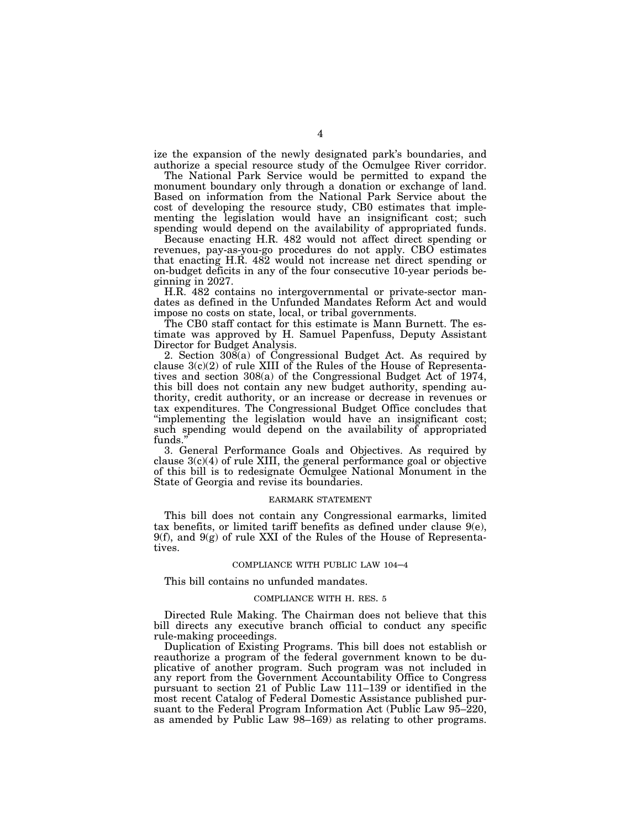ize the expansion of the newly designated park's boundaries, and authorize a special resource study of the Ocmulgee River corridor.

The National Park Service would be permitted to expand the monument boundary only through a donation or exchange of land. Based on information from the National Park Service about the cost of developing the resource study, CB0 estimates that implementing the legislation would have an insignificant cost; such spending would depend on the availability of appropriated funds.

Because enacting H.R. 482 would not affect direct spending or revenues, pay-as-you-go procedures do not apply. CBO estimates that enacting H.R. 482 would not increase net direct spending or on-budget deficits in any of the four consecutive 10-year periods beginning in 2027.

H.R. 482 contains no intergovernmental or private-sector mandates as defined in the Unfunded Mandates Reform Act and would impose no costs on state, local, or tribal governments.

The CB0 staff contact for this estimate is Mann Burnett. The estimate was approved by H. Samuel Papenfuss, Deputy Assistant Director for Budget Analysis.

2. Section 308(a) of Congressional Budget Act. As required by clause 3(c)(2) of rule XIII of the Rules of the House of Representatives and section 308(a) of the Congressional Budget Act of 1974, this bill does not contain any new budget authority, spending authority, credit authority, or an increase or decrease in revenues or tax expenditures. The Congressional Budget Office concludes that "implementing the legislation would have an insignificant cost; such spending would depend on the availability of appropriated funds.''

3. General Performance Goals and Objectives. As required by clause  $3(c)(4)$  of rule XIII, the general performance goal or objective of this bill is to redesignate Ocmulgee National Monument in the State of Georgia and revise its boundaries.

## EARMARK STATEMENT

This bill does not contain any Congressional earmarks, limited tax benefits, or limited tariff benefits as defined under clause  $9(e)$ , 9(f), and 9(g) of rule XXI of the Rules of the House of Representatives.

#### COMPLIANCE WITH PUBLIC LAW 104–4

This bill contains no unfunded mandates.

### COMPLIANCE WITH H. RES. 5

Directed Rule Making. The Chairman does not believe that this bill directs any executive branch official to conduct any specific rule-making proceedings.

Duplication of Existing Programs. This bill does not establish or reauthorize a program of the federal government known to be duplicative of another program. Such program was not included in any report from the Government Accountability Office to Congress pursuant to section 21 of Public Law 111–139 or identified in the most recent Catalog of Federal Domestic Assistance published pursuant to the Federal Program Information Act (Public Law 95–220, as amended by Public Law 98–169) as relating to other programs.